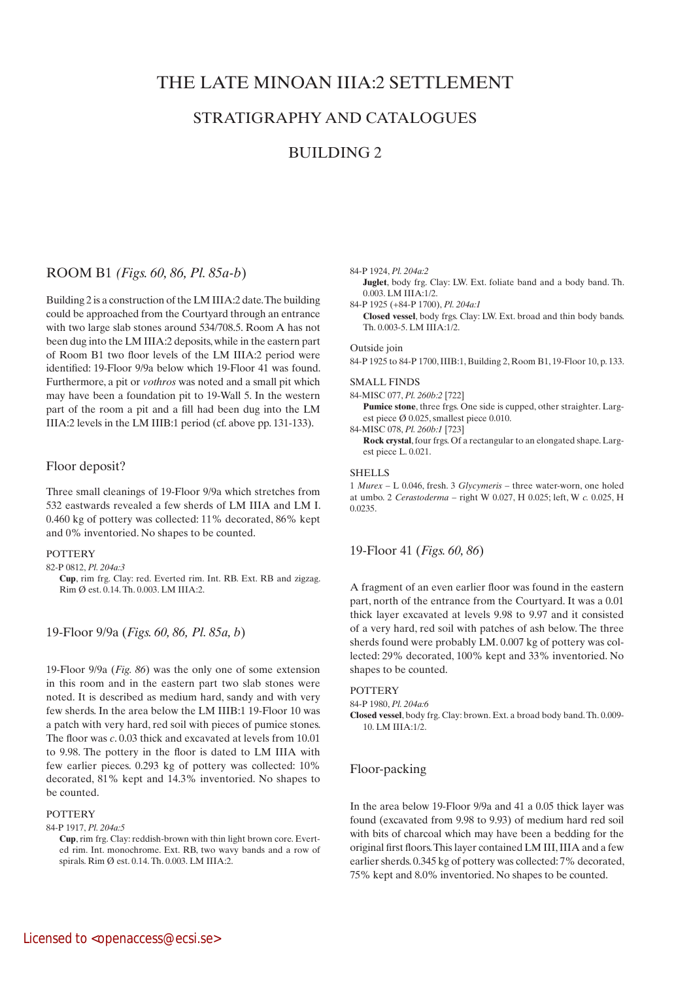# THE LATE MINOAN IIIA:2 SETTLEMENT

## STRATIGRAPHY AND CATALOGUES

## BUILDING 2

## ROOM B1 *(Figs. 60, 86, Pl. 85a-b*)

Building 2 is a construction of the LM IIIA:2 date. The building could be approached from the Courtyard through an entrance with two large slab stones around 534/708.5. Room A has not been dug into the LM IIIA:2 deposits, while in the eastern part of Room B1 two floor levels of the LM IIIA:2 period were identified: 19-Floor 9/9a below which 19-Floor 41 was found. Furthermore, a pit or *vothros* was noted and a small pit which may have been a foundation pit to 19-Wall 5. In the western part of the room a pit and a fill had been dug into the LM IIIA:2 levels in the LM IIIB:1 period (cf. above pp. 131-133).

### Floor deposit?

Three small cleanings of 19-Floor 9/9a which stretches from 532 eastwards revealed a few sherds of LM IIIA and LM I. 0.460 kg of pottery was collected: 11% decorated, 86% kept and 0% inventoried. No shapes to be counted.

### **POTTERY**

82-P 0812, *Pl. 204a:3*

19-Floor 9/9a (*Figs. 60, 86, Pl. 85a, b*)

19-Floor 9/9a (*Fig. 86*) was the only one of some extension in this room and in the eastern part two slab stones were noted. It is described as medium hard, sandy and with very few sherds. In the area below the LM IIIB:1 19-Floor 10 was a patch with very hard, red soil with pieces of pumice stones. The floor was *c*. 0.03 thick and excavated at levels from 10.01 to 9.98. The pottery in the floor is dated to LM IIIA with few earlier pieces. 0.293 kg of pottery was collected: 10% decorated, 81% kept and 14.3% inventoried. No shapes to be counted.

### **POTTERY**

84-P 1917, *Pl. 204a:5*

84-P 1924, *Pl. 204a:2*

- **Juglet**, body frg. Clay: LW. Ext. foliate band and a body band. Th. 0.003. LM IIIA:1/2.
- 84-P 1925 (+84-P 1700), *Pl. 204a:1*  **Closed vessel**, body frgs. Clay: LW. Ext. broad and thin body bands. Th. 0.003-5. LM IIIA:1/2.

### Outside join

84-P 1925 to 84-P 1700, IIIB:1, Building 2, Room B1, 19-Floor 10, p. 133.

### SMALL FINDS

84-MISC 077, *Pl. 260b:2* [722]

**Pumice stone**, three frgs. One side is cupped, other straighter. Largest piece Ø 0.025, smallest piece 0.010. 84-MISC 078, *Pl. 260b:1* [723]

 **Rock crystal**, four frgs. Of a rectangular to an elongated shape. Largest piece L. 0.021.

#### **SHELLS**

1 *Murex* – L 0.046, fresh. 3 *Glycymeris* – three water-worn, one holed at umbo. 2 *Cerastoderma* – right W 0.027, H 0.025; left, W *c.* 0.025, H 0.0235.

### 19-Floor 41 (*Figs. 60, 86*)

A fragment of an even earlier floor was found in the eastern part, north of the entrance from the Courtyard. It was a 0.01 thick layer excavated at levels 9.98 to 9.97 and it consisted of a very hard, red soil with patches of ash below. The three sherds found were probably LM. 0.007 kg of pottery was collected: 29% decorated, 100% kept and 33% inventoried. No shapes to be counted.

### **POTTERY**

84-P 1980, *Pl. 204a:6*

**Closed vessel**, body frg. Clay: brown. Ext. a broad body band. Th. 0.009- 10. LM IIIA:1/2.

### Floor-packing

In the area below 19-Floor 9/9a and 41 a 0.05 thick layer was found (excavated from 9.98 to 9.93) of medium hard red soil with bits of charcoal which may have been a bedding for the original first floors. This layer contained LM III, IIIA and a few earlier sherds. 0.345 kg of pottery was collected: 7% decorated, 75% kept and 8.0% inventoried. No shapes to be counted.

**Cup**, rim frg. Clay: red. Everted rim. Int. RB. Ext. RB and zigzag. Rim Ø est. 0.14. Th. 0.003. LM IIIA:2.

**Cup**, rim frg. Clay: reddish-brown with thin light brown core. Everted rim. Int. monochrome. Ext. RB, two wavy bands and a row of spirals. Rim Ø est. 0.14. Th. 0.003. LM IIIA:2.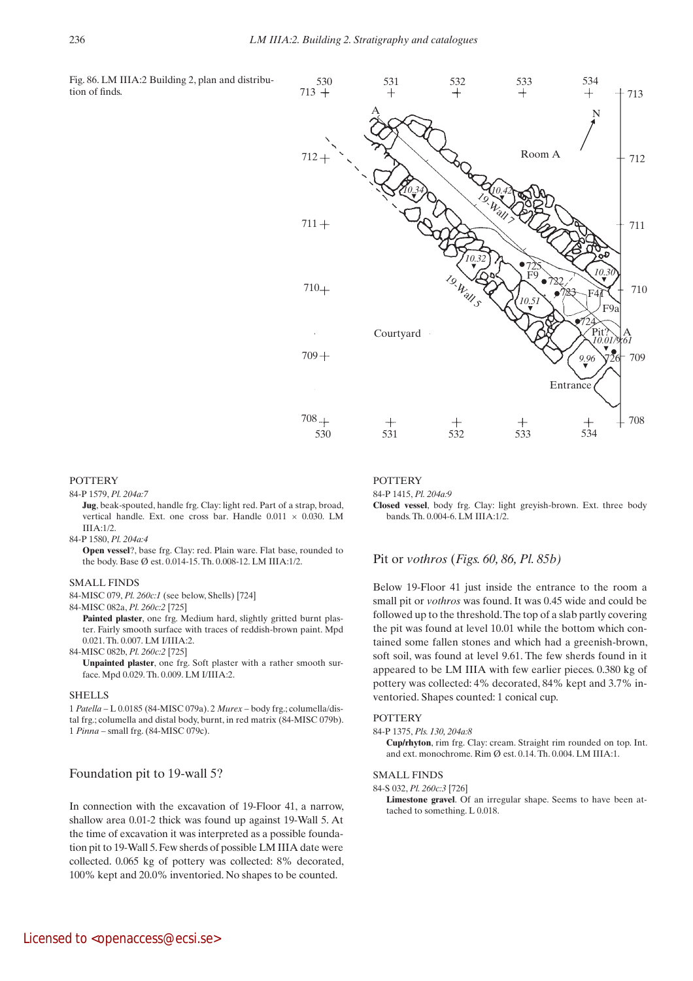Fig. 86. LM IIIA:2 Building 2, plan and distribution of finds.



#### **POTTERY**

84-P 1579, *Pl. 204a:7*

**Jug**, beak-spouted, handle frg. Clay: light red. Part of a strap, broad, vertical handle. Ext. one cross bar. Handle 0.011 × 0.030. LM  $IIIA.1/2$ 

84-P 1580, *Pl. 204a:4*

 **Open vessel**?, base frg. Clay: red. Plain ware. Flat base, rounded to the body. Base Ø est. 0.014-15. Th. 0.008-12. LM IIIA:1/2.

#### SMALL FINDS

84-MISC 079, *Pl. 260c:1* (see below, Shells) [724]

84-MISC 082a, *Pl. 260c:2* [725]

**Painted plaster**, one frg. Medium hard, slightly gritted burnt plaster. Fairly smooth surface with traces of reddish-brown paint. Mpd 0.021. Th. 0.007. LM I/IIIA:2.

84-MISC 082b, *Pl. 260c:2* [725]  **Unpainted plaster**, one frg. Soft plaster with a rather smooth surface. Mpd 0.029. Th. 0.009. LM I/IIIA:2.

#### **SHELLS**

1 *Patella* – L 0.0185 (84-MISC 079a). 2 *Murex* – body frg.; columella/distal frg.; columella and distal body, burnt, in red matrix (84-MISC 079b). 1 *Pinna* – small frg. (84-MISC 079c).

### Foundation pit to 19-wall 5?

In connection with the excavation of 19-Floor 41, a narrow, shallow area 0.01-2 thick was found up against 19-Wall 5. At the time of excavation it was interpreted as a possible foundation pit to 19-Wall 5. Few sherds of possible LM IIIA date were collected. 0.065 kg of pottery was collected: 8% decorated, 100% kept and 20.0% inventoried. No shapes to be counted.

#### **POTTERY**

84-P 1415, *Pl. 204a:9*

**Closed vessel**, body frg. Clay: light greyish-brown. Ext. three body bands. Th. 0.004-6. LM IIIA:1/2.

### Pit or *vothros* (*Figs. 60, 86, Pl. 85b)*

Below 19-Floor 41 just inside the entrance to the room a small pit or *vothros* was found. It was 0.45 wide and could be followed up to the threshold. The top of a slab partly covering the pit was found at level 10.01 while the bottom which contained some fallen stones and which had a greenish-brown, soft soil, was found at level 9.61. The few sherds found in it appeared to be LM IIIA with few earlier pieces. 0.380 kg of pottery was collected: 4% decorated, 84% kept and 3.7% inventoried. Shapes counted: 1 conical cup.

#### **POTTERY**

84-P 1375, *Pls. 130, 204a:8*

**Cup/rhyton**, rim frg. Clay: cream. Straight rim rounded on top. Int. and ext. monochrome. Rim Ø est. 0.14. Th. 0.004. LM IIIA:1.

#### SMALL FINDS

84-S 032, *Pl. 260c:3* [726]

 **Limestone gravel**. Of an irregular shape. Seems to have been attached to something. L 0.018.